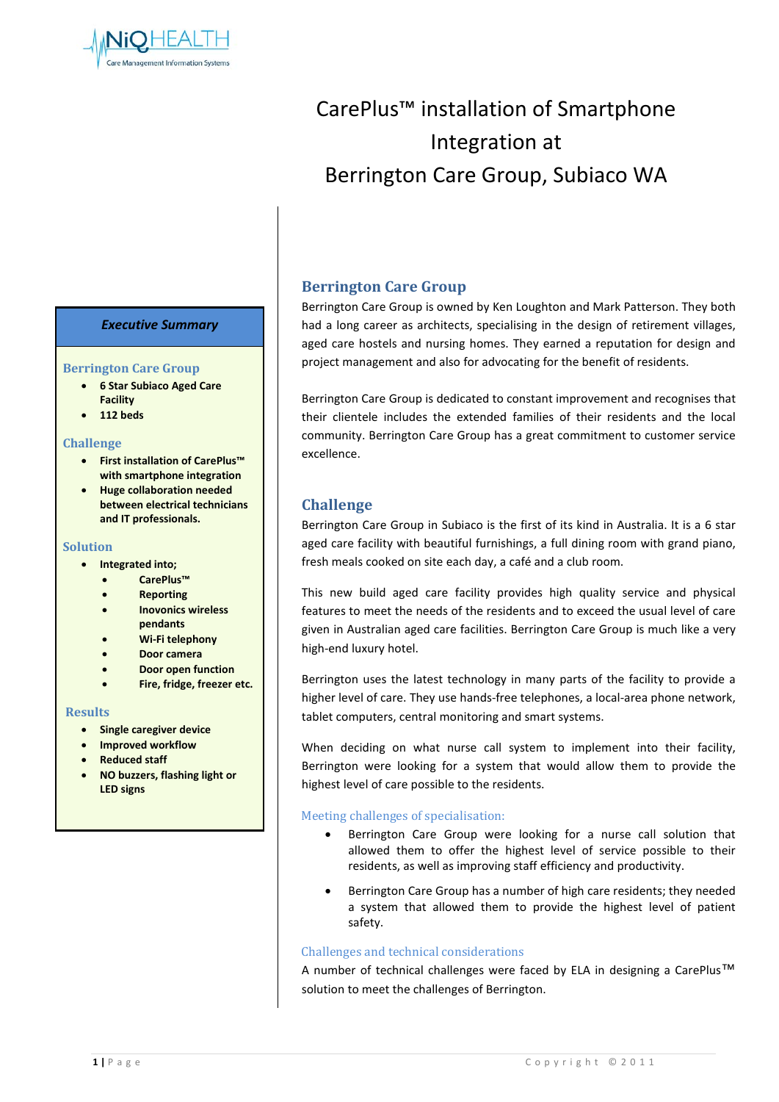

# CarePlus™ installation of Smartphone Integration at Berrington Care Group, Subiaco WA

#### *Executive Summary*

#### **Berrington Care Group**

- **6 Star Subiaco Aged Care Facility**
- **112 beds**

#### **Challenge**

- **First installation of CarePlus™ with smartphone integration**
- **Huge collaboration needed between electrical technicians and IT professionals.**

#### **Solution**

- **Integrated into;**
	- **CarePlus™**
	- **Reporting**
	- **Inovonics wireless pendants**
	- **Wi-Fi telephony**
	- **Door camera**
	- **Door open function**
	- **Fire, fridge, freezer etc.**

#### **Results**

- **Single caregiver device**
- **Improved workflow**
- **Reduced staff**
- **NO buzzers, flashing light or LED signs**

## **Berrington Care Group**

Berrington Care Group is owned by Ken Loughton and Mark Patterson. They both had a long career as architects, specialising in the design of retirement villages, aged care hostels and nursing homes. They earned a reputation for design and project management and also for advocating for the benefit of residents.

Berrington Care Group is dedicated to constant improvement and recognises that their clientele includes the extended families of their residents and the local community. Berrington Care Group has a great commitment to customer service excellence.

## **Challenge**

Berrington Care Group in Subiaco is the first of its kind in Australia. It is a 6 star aged care facility with beautiful furnishings, a full dining room with grand piano, fresh meals cooked on site each day, a café and a club room.

This new build aged care facility provides high quality service and physical features to meet the needs of the residents and to exceed the usual level of care given in Australian aged care facilities. Berrington Care Group is much like a very high-end luxury hotel.

Berrington uses the latest technology in many parts of the facility to provide a higher level of care. They use hands-free telephones, a local-area phone network, tablet computers, central monitoring and smart systems.

When deciding on what nurse call system to implement into their facility, Berrington were looking for a system that would allow them to provide the highest level of care possible to the residents.

#### Meeting challenges of specialisation:

- Berrington Care Group were looking for a nurse call solution that allowed them to offer the highest level of service possible to their residents, as well as improving staff efficiency and productivity.
- Berrington Care Group has a number of high care residents; they needed a system that allowed them to provide the highest level of patient safety.

#### Challenges and technical considerations

A number of technical challenges were faced by ELA in designing a CarePlus™ solution to meet the challenges of Berrington.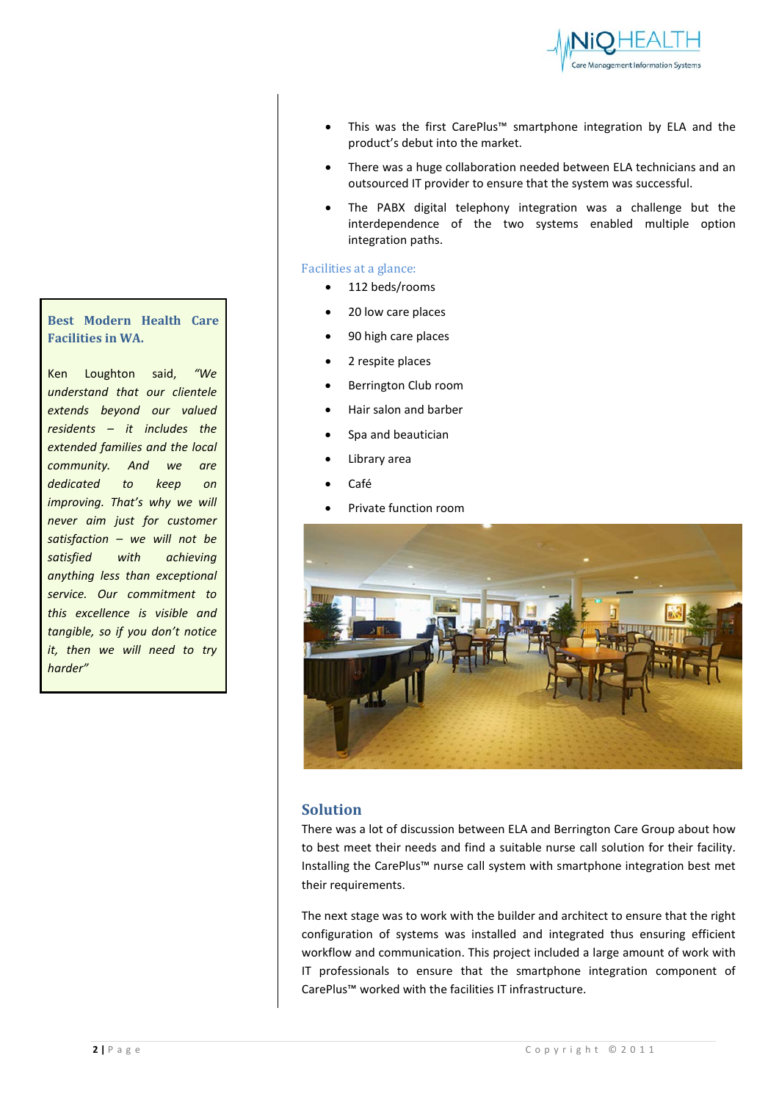

- This was the first CarePlus™ smartphone integration by ELA and the product's debut into the market.
- There was a huge collaboration needed between ELA technicians and an outsourced IT provider to ensure that the system was successful.
- The PABX digital telephony integration was a challenge but the interdependence of the two systems enabled multiple option integration paths.

#### Facilities at a glance:

- 112 beds/rooms
- 20 low care places
- 90 high care places
- 2 respite places
- Berrington Club room
- Hair salon and barber
- Spa and beautician
- Library area
- Café
- Private function room



### **Solution**

There was a lot of discussion between ELA and Berrington Care Group about how to best meet their needs and find a suitable nurse call solution for their facility. Installing the CarePlus™ nurse call system with smartphone integration best met their requirements.

The next stage was to work with the builder and architect to ensure that the right configuration of systems was installed and integrated thus ensuring efficient workflow and communication. This project included a large amount of work with IT professionals to ensure that the smartphone integration component of CarePlus™ worked with the facilities IT infrastructure.

# **Best Modern Health Care Facilities in WA.**

Ken Loughton said, *"We understand that our clientele extends beyond our valued residents – it includes the extended families and the local community. And we are dedicated to keep on improving. That's why we will never aim just for customer satisfaction – we will not be satisfied with achieving anything less than exceptional service. Our commitment to this excellence is visible and tangible, so if you don't notice it, then we will need to try harder"*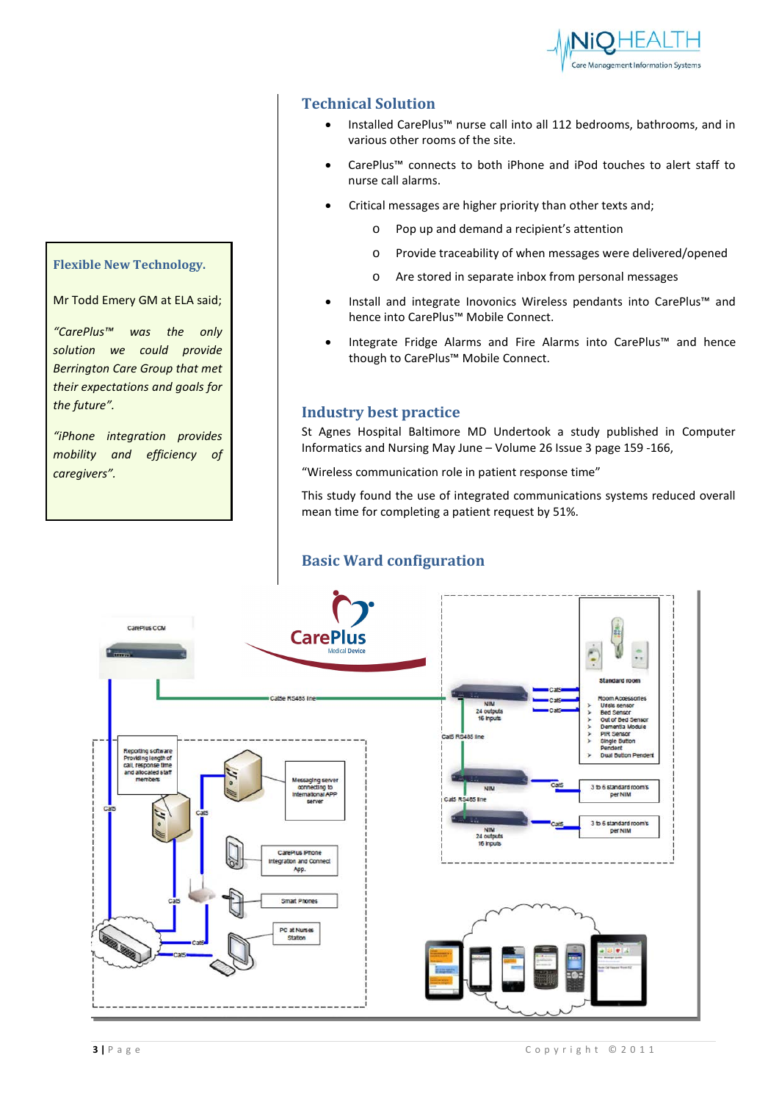

# **Technical Solution**

- Installed CarePlus™ nurse call into all 112 bedrooms, bathrooms, and in various other rooms of the site.
- CarePlus™ connects to both iPhone and iPod touches to alert staff to nurse call alarms.
- Critical messages are higher priority than other texts and;
	- o Pop up and demand a recipient's attention
	- o Provide traceability of when messages were delivered/opened
	- o Are stored in separate inbox from personal messages
- Install and integrate Inovonics Wireless pendants into CarePlus™ and hence into CarePlus™ Mobile Connect.
- Integrate Fridge Alarms and Fire Alarms into CarePlus™ and hence though to CarePlus™ Mobile Connect.

## **Industry best practice**

St Agnes Hospital Baltimore MD Undertook a study published in Computer Informatics and Nursing May June – Volume 26 Issue 3 page 159 -166,

"Wireless communication role in patient response time"

This study found the use of integrated communications systems reduced overall mean time for completing a patient request by 51%.

# **Basic Ward configuration**



# **Flexible New Technology.**

Mr Todd Emery GM at ELA said;

*"CarePlus™ was the only solution we could provide Berrington Care Group that met their expectations and goals for the future".* 

*"iPhone integration provides mobility and efficiency of caregivers".*